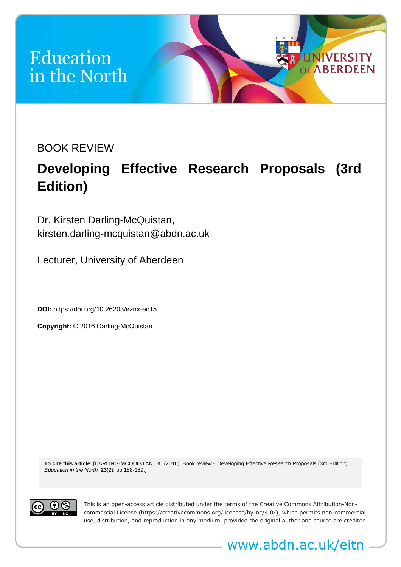## **Education** in the North

BOOK REVIEW

## **Developing Effective Research Proposals (3rd Edition)**

**UNIVERSITY ABERDEEN** 

Dr. Kirsten Darling-McQuistan, kirsten.darling-mcquistan@abdn.ac.uk

Lecturer, University of Aberdeen

**DOI:**<https://doi.org/10.26203/eznx-ec15>

**Copyright:** © 2016 Darling-McQuistan

**To cite this article**: [DARLING-MCQUISTAN, K. (2016). Book review - Developing Effective Research Proposals (3rd Edition). *Education in the North,* **23**(2), pp.188-189.]



This is an open-access article distributed under the terms of the Creative Commons Attribution-Noncommercial License (https://creativecommons.org/licenses/by-nc/4.0/), which permits non-commercial use, distribution, and reproduction in any medium, provided the original author and source are credited.

www.abdn.ac.uk/eitn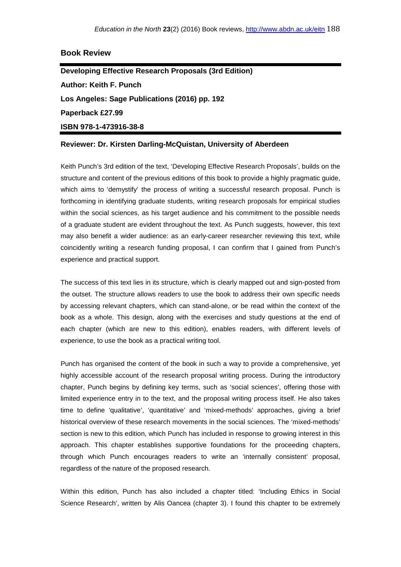## **Book Review**

**Developing Effective Research Proposals (3rd Edition) Author: Keith F. Punch Los Angeles: Sage Publications (2016) pp. 192 Paperback £27.99 ISBN 978-1-473916-38-8**

## **Reviewer: Dr. Kirsten Darling-McQuistan, University of Aberdeen**

Keith Punch's 3rd edition of the text, 'Developing Effective Research Proposals', builds on the structure and content of the previous editions of this book to provide a highly pragmatic guide, which aims to 'demystify' the process of writing a successful research proposal. Punch is forthcoming in identifying graduate students, writing research proposals for empirical studies within the social sciences, as his target audience and his commitment to the possible needs of a graduate student are evident throughout the text. As Punch suggests, however, this text may also benefit a wider audience: as an early-career researcher reviewing this text, while coincidently writing a research funding proposal, I can confirm that I gained from Punch's experience and practical support.

The success of this text lies in its structure, which is clearly mapped out and sign-posted from the outset. The structure allows readers to use the book to address their own specific needs by accessing relevant chapters, which can stand-alone, or be read within the context of the book as a whole. This design, along with the exercises and study questions at the end of each chapter (which are new to this edition), enables readers, with different levels of experience, to use the book as a practical writing tool.

Punch has organised the content of the book in such a way to provide a comprehensive, yet highly accessible account of the research proposal writing process. During the introductory chapter, Punch begins by defining key terms, such as 'social sciences', offering those with limited experience entry in to the text, and the proposal writing process itself. He also takes time to define 'qualitative', 'quantitative' and 'mixed-methods' approaches, giving a brief historical overview of these research movements in the social sciences. The 'mixed-methods' section is new to this edition, which Punch has included in response to growing interest in this approach. This chapter establishes supportive foundations for the proceeding chapters, through which Punch encourages readers to write an 'internally consistent' proposal, regardless of the nature of the proposed research.

Within this edition, Punch has also included a chapter titled: 'Including Ethics in Social Science Research', written by Alis Oancea (chapter 3). I found this chapter to be extremely